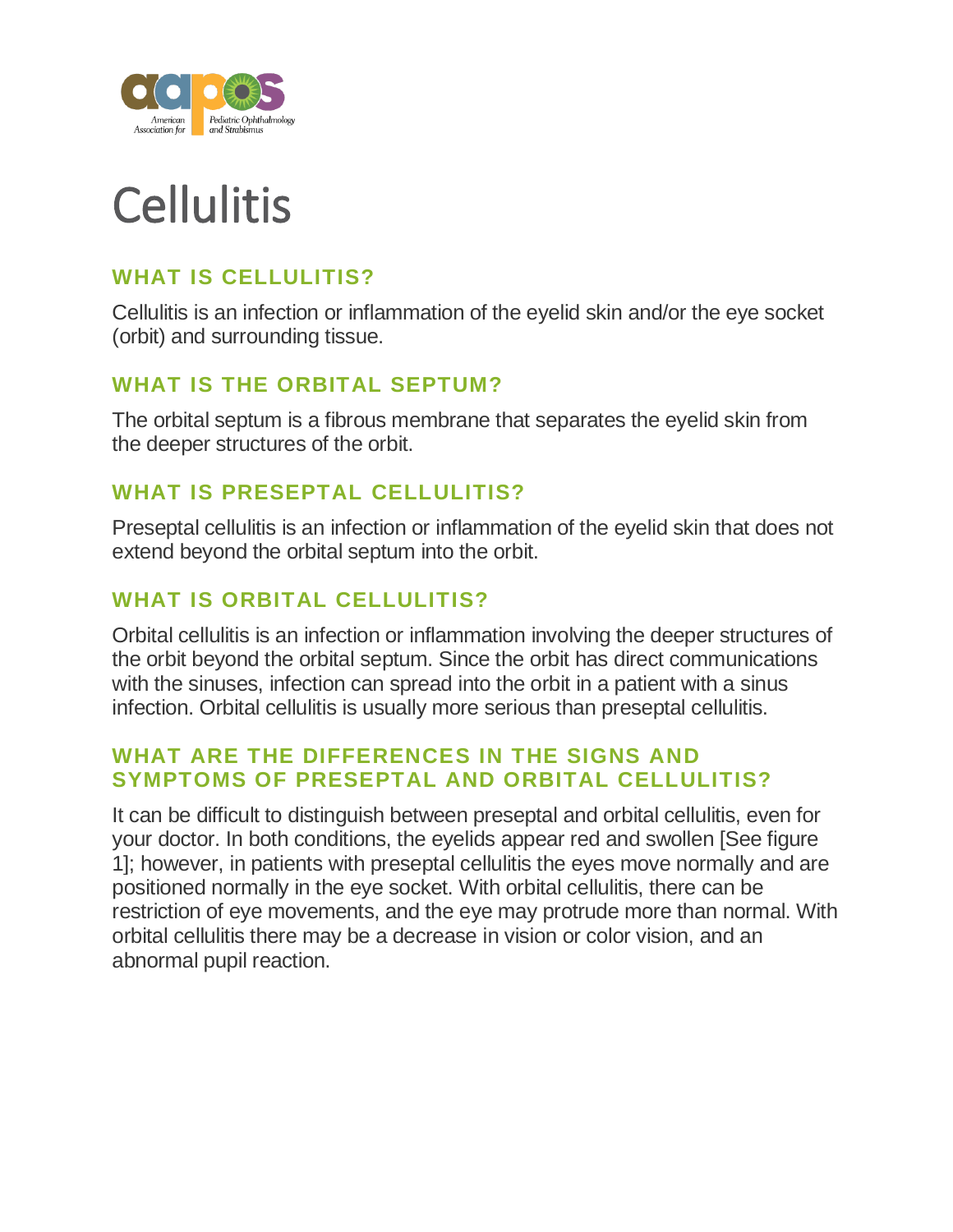

# **Cellulitis**

## **WHAT IS CELLULITIS?**

Cellulitis is an infection or inflammation of the eyelid skin and/or the eye socket (orbit) and surrounding tissue.

## **WHAT IS THE ORBITAL SEPTUM?**

The orbital septum is a fibrous membrane that separates the eyelid skin from the deeper structures of the orbit.

## **WHAT IS PRESEPTAL CELLULITIS?**

Preseptal cellulitis is an infection or inflammation of the eyelid skin that does not extend beyond the orbital septum into the orbit.

# **WHAT IS ORBITAL CELLULITIS?**

Orbital cellulitis is an infection or inflammation involving the deeper structures of the orbit beyond the orbital septum. Since the orbit has direct communications with the sinuses, infection can spread into the orbit in a patient with a sinus infection. Orbital cellulitis is usually more serious than preseptal cellulitis.

## **WHAT ARE THE DIFFERENCES IN THE SIGNS AND SYMPTOMS OF PRESEPTAL AND ORBITAL CELLULITIS?**

It can be difficult to distinguish between preseptal and orbital cellulitis, even for your doctor. In both conditions, the eyelids appear red and swollen [See figure 1]; however, in patients with preseptal cellulitis the eyes move normally and are positioned normally in the eye socket. With orbital cellulitis, there can be restriction of eye movements, and the eye may protrude more than normal. With orbital cellulitis there may be a decrease in vision or color vision, and an abnormal pupil reaction.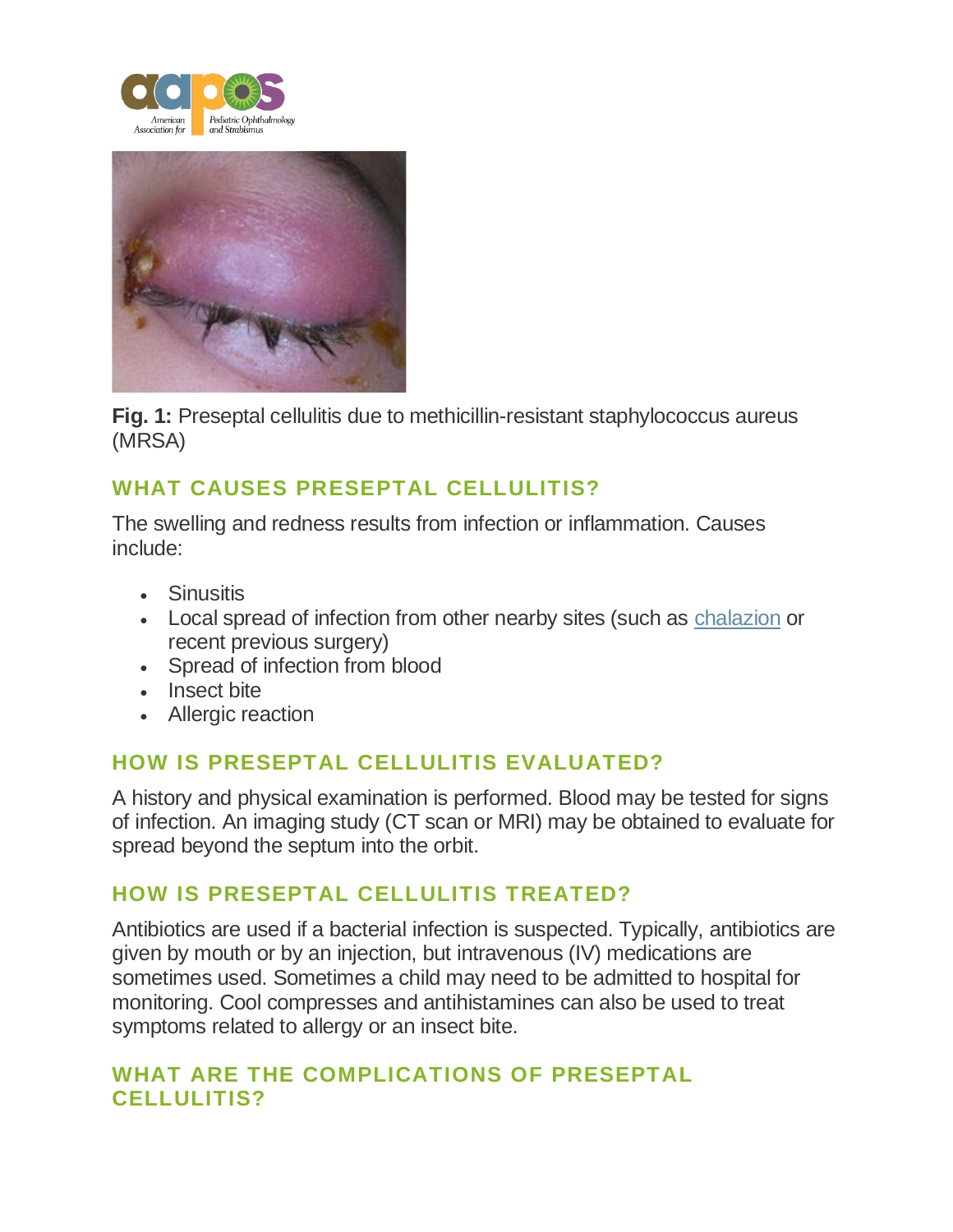



**Fig. 1:** Preseptal cellulitis due to methicillin-resistant staphylococcus aureus (MRSA)

## **WHAT CAUSES PRESEPTAL CELLULITIS?**

The swelling and redness results from infection or inflammation. Causes include:

- Sinusitis
- Local spread of infection from other nearby sites (such as [chalazion](https://aapos.org/glossary/chalazion) or recent previous surgery)
- Spread of infection from blood
- Insect bite
- Allergic reaction

## **HOW IS PRESEPTAL CELLULITIS EVALUATED?**

A history and physical examination is performed. Blood may be tested for signs of infection. An imaging study (CT scan or MRI) may be obtained to evaluate for spread beyond the septum into the orbit.

#### **HOW IS PRESEPTAL CELLULITIS TREATED?**

Antibiotics are used if a bacterial infection is suspected. Typically, antibiotics are given by mouth or by an injection, but intravenous (IV) medications are sometimes used. Sometimes a child may need to be admitted to hospital for monitoring. Cool compresses and antihistamines can also be used to treat symptoms related to allergy or an insect bite.

## **WHAT ARE THE COMPLICATIONS OF PRESEPTAL CELLULITIS?**